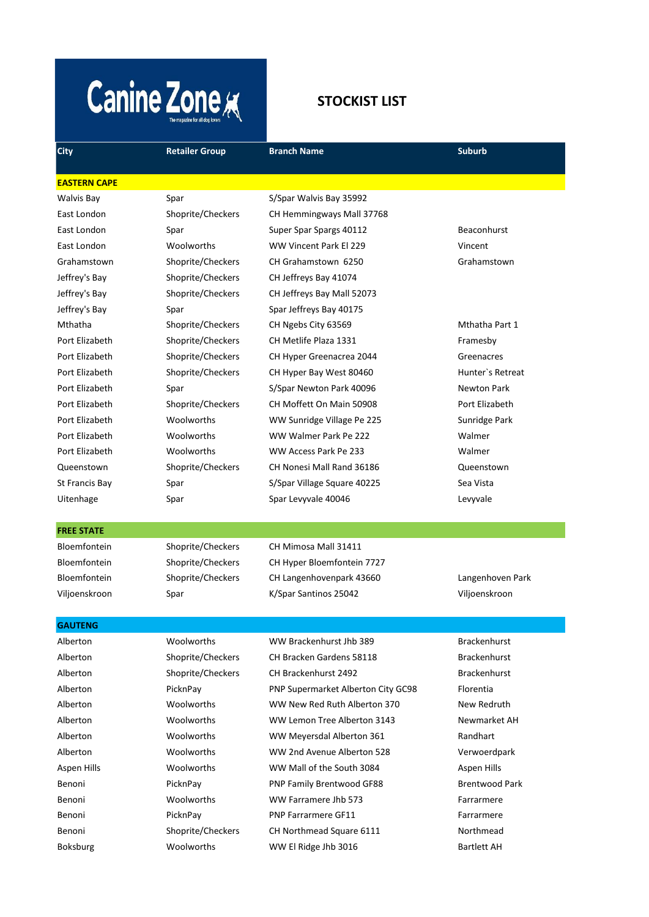# **Canine Zone K**

# **STOCKIST LIST**

| <b>City</b>         | <b>Retailer Group</b> | <b>Branch Name</b>                 | <b>Suburb</b>         |
|---------------------|-----------------------|------------------------------------|-----------------------|
| <b>EASTERN CAPE</b> |                       |                                    |                       |
| <b>Walvis Bay</b>   | Spar                  | S/Spar Walvis Bay 35992            |                       |
| East London         | Shoprite/Checkers     | CH Hemmingways Mall 37768          |                       |
| East London         | Spar                  | Super Spar Spargs 40112            | <b>Beaconhurst</b>    |
| East London         | Woolworths            | WW Vincent Park El 229             | Vincent               |
| Grahamstown         | Shoprite/Checkers     | CH Grahamstown 6250                | Grahamstown           |
| Jeffrey's Bay       | Shoprite/Checkers     | CH Jeffreys Bay 41074              |                       |
| Jeffrey's Bay       | Shoprite/Checkers     | CH Jeffreys Bay Mall 52073         |                       |
| Jeffrey's Bay       | Spar                  | Spar Jeffreys Bay 40175            |                       |
| Mthatha             | Shoprite/Checkers     | CH Ngebs City 63569                | Mthatha Part 1        |
| Port Elizabeth      | Shoprite/Checkers     | CH Metlife Plaza 1331              | Framesby              |
| Port Elizabeth      | Shoprite/Checkers     | CH Hyper Greenacrea 2044           | Greenacres            |
| Port Elizabeth      | Shoprite/Checkers     | CH Hyper Bay West 80460            | Hunter's Retreat      |
| Port Elizabeth      | Spar                  | S/Spar Newton Park 40096           | Newton Park           |
| Port Elizabeth      | Shoprite/Checkers     | CH Moffett On Main 50908           | Port Elizabeth        |
| Port Elizabeth      | Woolworths            | WW Sunridge Village Pe 225         | Sunridge Park         |
| Port Elizabeth      | Woolworths            | WW Walmer Park Pe 222              | Walmer                |
| Port Elizabeth      | Woolworths            | WW Access Park Pe 233              | Walmer                |
| Queenstown          | Shoprite/Checkers     | CH Nonesi Mall Rand 36186          | Queenstown            |
| St Francis Bay      | Spar                  | S/Spar Village Square 40225        | Sea Vista             |
| Uitenhage           | Spar                  | Spar Levyvale 40046                | Levyvale              |
| <b>FREE STATE</b>   |                       |                                    |                       |
| <b>Bloemfontein</b> | Shoprite/Checkers     | CH Mimosa Mall 31411               |                       |
| Bloemfontein        | Shoprite/Checkers     | CH Hyper Bloemfontein 7727         |                       |
| <b>Bloemfontein</b> | Shoprite/Checkers     | CH Langenhovenpark 43660           | Langenhoven Park      |
| Viljoenskroon       | Spar                  | K/Spar Santinos 25042              | Viljoenskroon         |
| <b>GAUTENG</b>      |                       |                                    |                       |
| Alberton            | Woolworths            | WW Brackenhurst Jhb 389            | <b>Brackenhurst</b>   |
| Alberton            | Shoprite/Checkers     | CH Bracken Gardens 58118           | <b>Brackenhurst</b>   |
| Alberton            | Shoprite/Checkers     | CH Brackenhurst 2492               | <b>Brackenhurst</b>   |
| Alberton            | PicknPay              | PNP Supermarket Alberton City GC98 | Florentia             |
| Alberton            | Woolworths            | WW New Red Ruth Alberton 370       | New Redruth           |
| Alberton            | Woolworths            | WW Lemon Tree Alberton 3143        | Newmarket AH          |
| Alberton            | Woolworths            | WW Meyersdal Alberton 361          | Randhart              |
| Alberton            | Woolworths            | WW 2nd Avenue Alberton 528         | Verwoerdpark          |
| Aspen Hills         | Woolworths            | WW Mall of the South 3084          | Aspen Hills           |
| Benoni              | PicknPay              | PNP Family Brentwood GF88          | <b>Brentwood Park</b> |
| Benoni              | Woolworths            | WW Farramere Jhb 573               | Farrarmere            |
| Benoni              | PicknPay              | PNP Farrarmere GF11                | Farrarmere            |

Benoni Shoprite/Checkers CH Northmead Square 6111 Northmead Boksburg Moolworths WW El Ridge Jhb 3016 Bartlett AH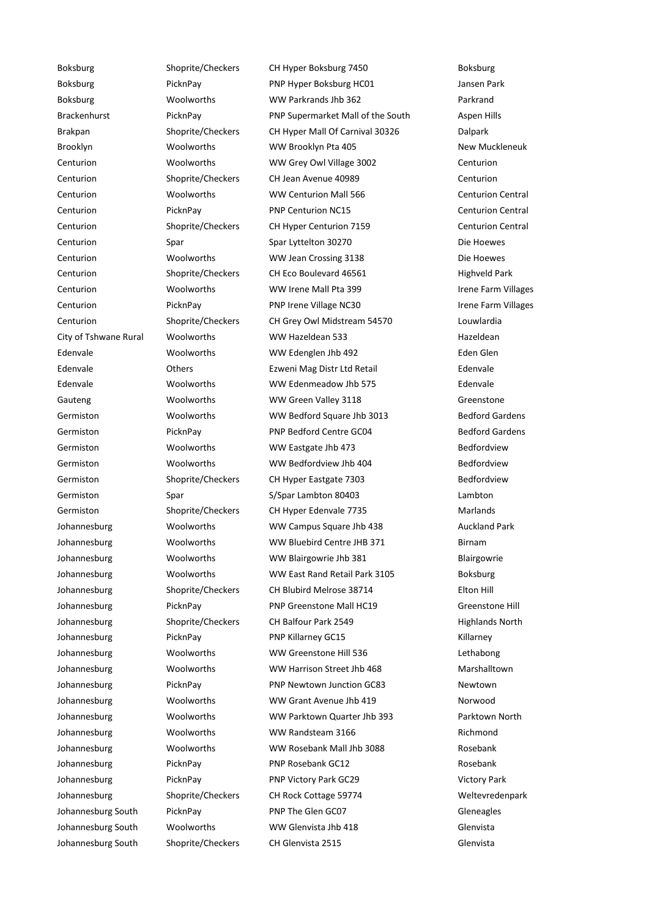Boksburg Shoprite/Checkers CH Hyper Boksburg 7450 Boksburg Boksburg **PicknPay PicknPay** PNP Hyper Boksburg HC01 Jansen Park Boksburg Woolworths WW Parkrands Jhb 362 Parkrand Brackenhurst PicknPay PNP Supermarket Mall of the South Aspen Hills Brakpan Shoprite/Checkers CH Hyper Mall Of Carnival 30326 Dalpark Brooklyn **WAS WOOLWOTTEN WW Brooklyn Pta 405** New Muckleneuk Centurion Woolworths WW Grey Owl Village 3002 Centurion Centurion Shoprite/Checkers CH Jean Avenue 40989 Centurion Centurion **CENT WOOLWORTHS** WW Centurion Mall 566 Centurion Centurion Central Centurion **PicknPay** PNP Centurion NC15 Centurion Centurion Central Centurion Shoprite/Checkers CH Hyper Centurion 7159 Centurion Central Centurion Spar Spar Lyttelton 30270 Die Hoewes Centurion Woolworths WW Jean Crossing 3138 Die Hoewes Centurion Shoprite/Checkers CH Eco Boulevard 46561 Highveld Park Centurion **WOOLWORTHS** WW Irene Mall Pta 399 **Irene Farm Villages** Centurion **PicknPay** PicknPay PNP Irene Village NC30 Irene Farm Villages Centurion Shoprite/Checkers CH Grey Owl Midstream 54570 Louwlardia City of Tshwane Rural Woolworths WW Hazeldean 533 Hazeldean Edenvale Woolworths WW Edenglen Jhb 492 Eden Glen Edenvale Others Ezweni Mag Distr Ltd Retail Edenvale Edenvale Woolworths WW Edenmeadow Jhb 575 Edenvale Gauteng **State Constructs** WW Green Valley 3118 Greenstone Greenstone Germiston Moolworths WW Bedford Square Jhb 3013 Bedford Gardens Germiston **PicknPay** PICKNPay PNP Bedford Centre GC04 Bedford Gardens Germiston Moolworths WW Eastgate Jhb 473 Bedfordview Germiston **WITH WOOL WOOLWORTH** WAS BEDISCONTED WITH MOOLWOOTHS WITH WAS BEDISCONTED WITH MOOLWOOTHS WELL BEDISCONTED BEDISCONTED BEDISCONTED BEDISCONTED MEDISCONTED BEDISCONTED MEDISCONTED BEDISCONTED BEDISCONTED MEDISCON Germiston Shoprite/Checkers CH Hyper Eastgate 7303 Bedfordview Germiston Spar S/Spar Lambton 80403 Lambton Cambton Communisty Communisty Communisty Communisty Communisty Comm Germiston Shoprite/Checkers CH Hyper Edenvale 7735 Marlands Johannesburg Woolworths WW Campus Square Jhb 438 Auckland Park Johannesburg Woolworths WW Bluebird Centre JHB 371 Birnam Johannesburg Woolworths WW Blairgowrie Jhb 381 Blairgowrie Johannesburg Woolworths WW East Rand Retail Park 3105 Boksburg Johannesburg Shoprite/Checkers CH Blubird Melrose 38714 Elton Hill Johannesburg PicknPay PNP Greenstone Mall HC19 Greenstone Hill Johannesburg Shoprite/Checkers CH Balfour Park 2549 Highlands North Johannesburg PicknPay PNP Killarney GC15 Killarney Rillarney GC15 Killarney Johannesburg Woolworths WW Greenstone Hill 536 Lethabong Johannesburg Woolworths WW Harrison Street Jhb 468 Marshalltown Johannesburg PicknPay PNP Newtown Junction GC83 Newtown Johannesburg Woolworths WW Grant Avenue Jhb 419 Norwood Johannesburg Woolworths WW Parktown Quarter Jhb 393 Parktown North Johannesburg Woolworths WW Randsteam 3166 Richmond Johannesburg Woolworths WW Rosebank Mall Jhb 3088 Rosebank Johannesburg PicknPay PNP Rosebank GC12 Rosebank GC12 Johannesburg **PicknPay PicknPay** PNP Victory Park GC29 Victory Park Johannesburg Shoprite/Checkers CH Rock Cottage 59774 Weltevredenpark Johannesburg South PicknPay PNP The Glen GC07 Gleneagles Johannesburg South Woolworths WW Glenvista Jhb 418 Glenvista Johannesburg South Shoprite/Checkers CH Glenvista 2515 Glenvista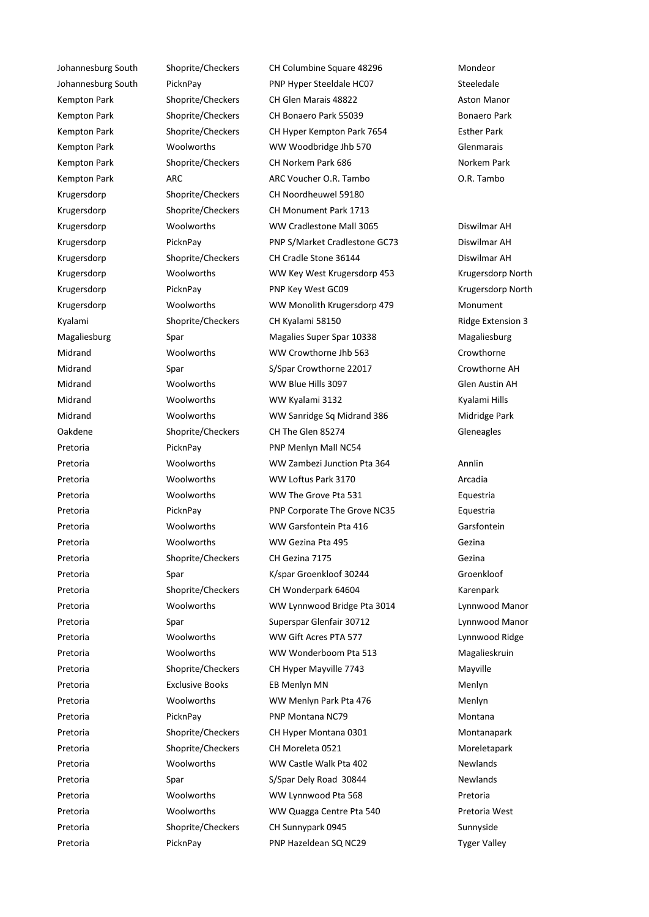Johannesburg South Shoprite/Checkers CH Columbine Square 48296 Mondeor Johannesburg South PicknPay PNP Hyper Steeldale HC07 Steeledale Kempton Park Shoprite/Checkers CH Glen Marais 48822 Aston Manor Kempton Park Shoprite/Checkers CH Bonaero Park 55039 Bonaero Park Kempton Park Shoprite/Checkers CH Hyper Kempton Park 7654 Esther Park Kempton Park **Woolworths** WW Woodbridge Jhb 570 Glenmarais Kempton Park Shoprite/Checkers CH Norkem Park 686 Norkem Park 686 Kempton Park ARC ARC Voucher O.R. Tambo O.R. Tambo Krugersdorp Shoprite/Checkers CH Noordheuwel 59180 Krugersdorp Shoprite/Checkers CH Monument Park 1713 Krugersdorp Woolworths WW Cradlestone Mall 3065 Diswilmar AH Krugersdorp PicknPay PNP S/Market Cradlestone GC73 Diswilmar AH Krugersdorp Shoprite/Checkers CH Cradle Stone 36144 Diswilmar AH Krugersdorp Woolworths WW Key West Krugersdorp 453 Krugersdorp North Krugersdorp PicknPay PNP Key West GC09 Krugersdorp North Krugersdorp Woolworths WW Monolith Krugersdorp 479 Monument Kyalami Shoprite/Checkers CH Kyalami 58150 CH Shoprite/Checkers CH Kyalami 58150 Magaliesburg Spar Spar Magalies Super Spar 10338 Magaliesburg Midrand Woolworths WW Crowthorne Jhb 563 Crowthorne Midrand Spar Spar S/Spar Crowthorne 22017 Crowthorne AH Midrand Woolworths WW Blue Hills 3097 Glen Austin AH Midrand Woolworths WW Kyalami 3132 Kyalami Hills Midrand Woolworths WW Sanridge Sq Midrand 386 Midridge Park Oakdene Shoprite/Checkers CH The Glen 85274 Gleneagles Pretoria PicknPay PNP Menlyn Mall NC54 Pretoria Woolworths WW Zambezi Junction Pta 364 Annlin Pretoria 1980 Woolworths MW Loftus Park 3170 MW Loftus Park 3170 Arcadia Pretoria **MOOLWOOTHIS** WW The Grove Pta 531 **Equestria** Pretoria **PicknPay** PNP Corporate The Grove NC35 Equestria Pretoria **MOOLWORTH** WW Garsfontein Pta 416 Garsfontein Pretoria Woolworths WW Gezina Pta 495 Gezina Pretoria Shoprite/Checkers CH Gezina 7175 Gezina Pretoria Spar K/spar Groenkloof 30244 Groenkloof Pretoria Shoprite/Checkers CH Wonderpark 64604 Karenpark Pretoria Woolworths WW Lynnwood Bridge Pta 3014 Lynnwood Manor Pretoria Spar Superspar Glenfair 30712 Lynnwood Manor Pretoria Woolworths WW Gift Acres PTA 577 Lynnwood Ridge Pretoria **MOOLWORTH** WW Wonderboom Pta 513 Magalieskruin Pretoria 
Shoprite/Checkers

CH Hyper Mayville 7743

CH Hyper Mayville 7743

Mayville Pretoria **EXCLUSIVE BOOKS** EB Menlyn MN CHOTES AND Menlyn Pretoria Woolworths WW Menlyn Park Pta 476 Menlyn Pretoria PicknPay PNP Montana NC79 Montana Pretoria **Shoprite/Checkers** CH Hyper Montana 0301 Montanapark Pretoria **Shoprite/Checkers** CH Moreleta 0521 Moreletapark Pretoria **MOOLWOOTH** WW Castle Walk Pta 402 Newlands Pretoria **Spar Sylpan Dely Road 30844** Newlands Pretoria **MOOLWORTH** WOOLWORTH WAS Lynnwood Pta 568 **Pretoria** Pretoria **MOOLWORTHY WW Quagga Centre Pta 540** Pretoria West Pretoria Shoprite/Checkers CH Sunnypark 0945 Sunnyside Pretoria **PicknPay** PNP Hazeldean SQ NC29 Tyger Valley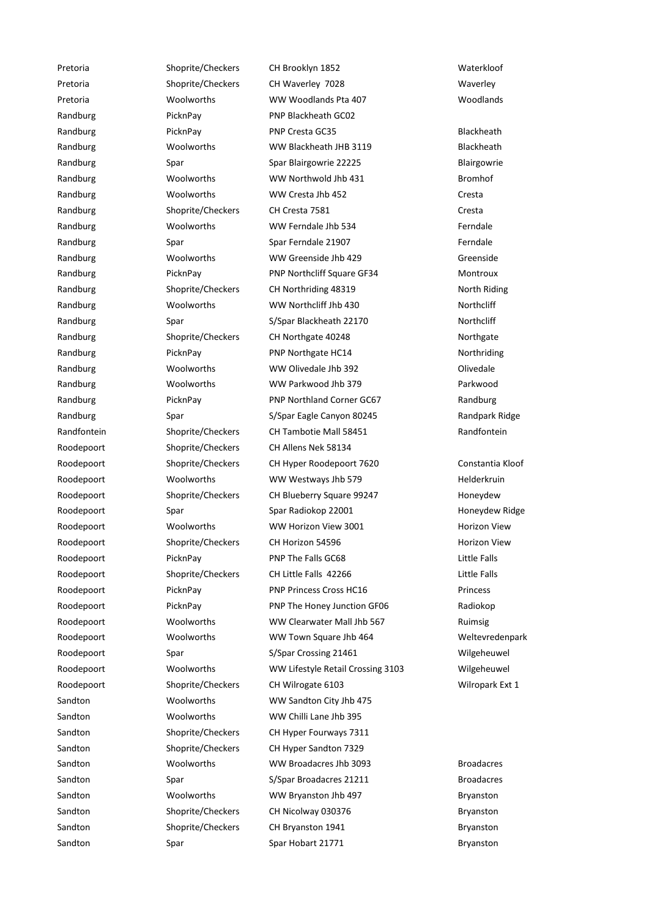Pretoria Shoprite/Checkers CH Brooklyn 1852 Waterkloof Pretoria Shoprite/Checkers CH Waverley 7028 Maverley Theorem CH Waverley Pretoria Woolworths WW Woodlands Pta 407 Woodlands Randburg PicknPay PicknPay PNP Blackheath GC02 Randburg PicknPay Provesta GC35 Blackheath Randburg **Example 20 Woolworths** WW Blackheath JHB 3119 **Blackheath** Randburg Spar Spar Spar Blairgowrie 22225 Blairgowrie Blairgowrie Randburg Woolworths WW Northwold Jhb 431 Bromhof Randburg Moolworths WW Cresta Jhb 452 Cresta Randburg Shoprite/Checkers CH Cresta 7581 Cresta Cresta Randburg **Mandburg Woolworths** WW Ferndale Jhb 534 Ferndale Randburg Spar Spar Spar Spar Spar Ferndale 21907 Ferndale Randburg Moolworths WW Greenside Jhb 429 Greenside Randburg PicknPay PicknPay PNP Northcliff Square GF34 Montroux Randburg Shoprite/Checkers CH Northriding 48319 North Riding Randburg Moolworths WW Northcliff Jhb 430 Northcliff Jhb 430 Randburg Spar S/Spar Blackheath 22170 Northcliff Randburg Shoprite/Checkers CH Northgate 40248 Northgate Randburg PicknPay PHR Northgate HC14 Northriding Randburg Moolworths WW Olivedale Jhb 392 Olivedale Randburg Woolworths WW Parkwood Jhb 379 Parkwood Randburg **PicknPay** PicknPay **PNP Northland Corner GC67** Randburg Randburg Spar S/Spar Eagle Canyon 80245 Randpark Ridge Randfontein Shoprite/Checkers CH Tambotie Mall 58451 Randfontein Roodepoort Shoprite/Checkers CH Allens Nek 58134 Roodepoort Shoprite/Checkers CH Hyper Roodepoort 7620 Constantia Kloof Roodepoort Woolworths WW Westways Jhb 579 Helderkruin Roodepoort Shoprite/Checkers CH Blueberry Square 99247 Honeydew Roodepoort Spar Spar Spar Spar Radiokop 22001 Honeydew Ridge Roodepoort Moolworths WW Horizon View 3001 Horizon View Roodepoort Shoprite/Checkers CH Horizon 54596 Horizon View Roodepoort **PicknPay** PHP The Falls GC68 PHP The Falls GC68 Roodepoort Shoprite/Checkers CH Little Falls 42266 Little Falls Roodepoort PicknPay PICKnPay PNP Princess Cross HC16 Princess Cross HC16 Princess Roodepoort PicknPay PICKNPay PNP The Honey Junction GF06 Radiokop Roodepoort Woolworths WW Clearwater Mall Jhb 567 Ruimsig Roodepoort Woolworths WW Town Square Jhb 464 Weltevredenpark Roodepoort Spar S/Spar Crossing 21461 Wilgeheuwel Roodepoort Woolworths WW Lifestyle Retail Crossing 3103 Wilgeheuwel Roodepoort Shoprite/Checkers CH Wilrogate 6103 Wilropark Ext 1 Sandton Woolworths WW Sandton City Jhb 475 Sandton Woolworths WW Chilli Lane Jhb 395 Sandton Shoprite/Checkers CH Hyper Fourways 7311 Sandton Shoprite/Checkers CH Hyper Sandton 7329 Sandton **MOOLWORTHS** WW Broadacres Jhb 3093 Broadacres Jhb 3093 Sandton Spar Syls Spar Southern Standacres 21211 Broadacres Sandton Woolworths WW Bryanston Jhb 497 Bryanston Sandton Shoprite/Checkers CH Nicolway 030376 Bryanston Sandton Shoprite/Checkers CH Bryanston 1941 Bryanston Bryanston Sandton Spar Spar Spar Spar Hobart 21771 Spar Hobart 2007 Span Bryanston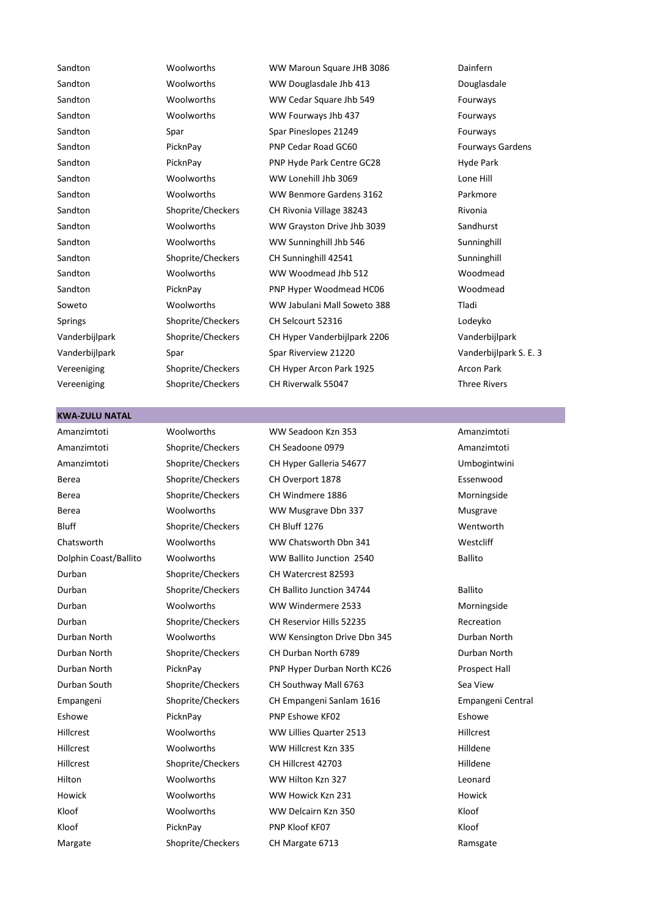Sandton Woolworths WW Maroun Square JHB 3086 Dainfern Sandton Moolworths WW Douglasdale Jhb 413 Douglasdale Sandton Moolworths WW Cedar Square Jhb 549 Fourways Sandton Woolworths WW Fourways Jhb 437 Fourways Sandton Spar Spar Spar Spar Pineslopes 21249 Fourways Sandton **PicknPay** PicknPay PNP Cedar Road GC60 **Fourways Gardens** Sandton **PicknPay** Property PNP Hyde Park Centre GC28 Hyde Park Sandton **MOOLWORTH** WW Lonehill Jhb 3069 Lone Hill Sandton Moolworths WW Benmore Gardens 3162 Parkmore Sandton Shoprite/Checkers CH Rivonia Village 38243 Rivonia Sandton **MOOLWORTHS** WW Grayston Drive Jhb 3039 Sandhurst Sandhurst Sandton Woolworths WW Sunninghill Jhb 546 Sunninghill Sandton Shoprite/Checkers CH Sunninghill 42541 Sunninghill Sandton Woolworths WW Woodmead Jhb 512 Woodmead Sandton **PicknPay** PNP Hyper Woodmead HC06 Woodmead Soweto Woolworths WW Jabulani Mall Soweto 388 Tladi Springs Shoprite/Checkers CH Selcourt 52316 CH Selcourt 52316 Vanderbijlpark Shoprite/Checkers CH Hyper Vanderbijlpark 2206 Vanderbijlpark Vanderbijlpark Spar Spar Riverview 21220 Vanderbijlpark S. E. 3 Vereeniging Shoprite/Checkers CH Hyper Arcon Park 1925 Arcon Park Vereeniging Shoprite/Checkers CH Riverwalk 55047 Three Rivers

#### **KWA-ZULU NATAL**

Durban Shoprite/Checkers CH Watercrest 82593

Amanzimtoti Woolworths WW Seadoon Kzn 353 Amanzimtoti

Amanzimtoti Shoprite/Checkers CH Seadoone 0979 Amanzimtoti Amanzimtoti Shoprite/Checkers CH Hyper Galleria 54677 Umbogintwini Berea Shoprite/Checkers CH Overport 1878 Essenwood Berea Shoprite/Checkers CH Windmere 1886 Morningside Berea **MOOLWOOTH** WW Musgrave Dbn 337 Musgrave Musgrave Bluff Shoprite/Checkers CH Bluff 1276 Wentworth Chatsworth Woolworths WW Chatsworth Dbn 341 Westcliff Dolphin Coast/Ballito Woolworths WW Ballito Junction 2540 Ballito Durban Shoprite/Checkers CH Ballito Junction 34744 Ballito Durban Woolworths WW Windermere 2533 Morningside Durban Shoprite/Checkers CH Reservior Hills 52235 Recreation Durban North Woolworths WW Kensington Drive Dbn 345 Durban North Durban North Shoprite/Checkers CH Durban North 6789 Durban North Durban North PicknPay PNP Hyper Durban North KC26 Prospect Hall Durban South Shoprite/Checkers CH Southway Mall 6763 Sea View Empangeni Shoprite/Checkers CH Empangeni Sanlam 1616 Empangeni Central Eshowe PicknPay PICKNPay PNP Eshowe KF02 Eshowe KF02 Hillcrest Moolworths WW Lillies Quarter 2513 Hillcrest Hillcrest **WOOLWORTH** WW Hillcrest Kzn 335 Hilldene Hillcrest Shoprite/Checkers CH Hillcrest 42703 Hilldene Hilton Woolworths WW Hilton Kzn 327 Leonard Howick Woolworths WW Howick Kzn 231 Howick Kloof **Woolworths WW Delcairn Kzn 350** Kloof Kloof Kloof PicknPay PIP Kloof KF07 Kloof KE07 Kloof Margate Shoprite/Checkers CH Margate 6713 Ramsgate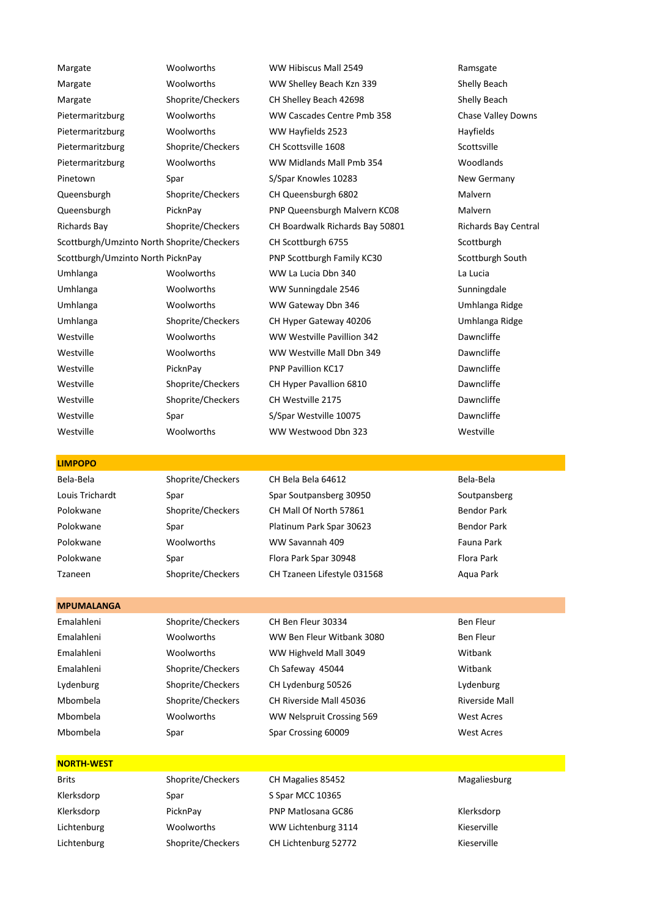Margate 1980 Woolworths WW Hibiscus Mall 2549 Ramsgate Margate Moolworths WW Shelley Beach Kzn 339 Shelly Beach Margate Shoprite/Checkers CH Shelley Beach 42698 Shelly Beach Pietermaritzburg Woolworths WW Cascades Centre Pmb 358 Chase Valley Downs Pietermaritzburg Woolworths WW Hayfields 2523 Hayfields Pietermaritzburg Shoprite/Checkers CH Scottsville 1608 Scottsville Pietermaritzburg Woolworths WW Midlands Mall Pmb 354 Woodlands Pinetown Spar S/Spar S/Spar Knowles 10283 New Germany Queensburgh Shoprite/Checkers CH Queensburgh 6802 Malvern Queensburgh PicknPay PNP Queensburgh Malvern KC08 Malvern Richards Bay Shoprite/Checkers CH Boardwalk Richards Bay 50801 Richards Bay Central Scottburgh/Umzinto North Shoprite/Checkers CH Scottburgh 6755 Scottburgh Scottburgh 6755 Scottburgh/Umzinto North PicknPay PNP Scottburgh Family KC30 Scottburgh South Umhlanga Woolworths WW La Lucia Dbn 340 La Lucia Umhlanga Woolworths WW Sunningdale 2546 Sunningdale Umhlanga Woolworths WW Gateway Dbn 346 Umhlanga Ridge Umhlanga Shoprite/Checkers CH Hyper Gateway 40206 Umhlanga Ridge Westville **Woolworths** WW Westville Pavillion 342 Dawncliffe Westville Woolworths WW Westville Mall Dbn 349 Dawncliffe Westville PicknPay PC PIC PICKNPay PNP Pavillion KC17 Controller Providence Dawncliffe Westville Shoprite/Checkers CH Hyper Pavallion 6810 Dawncliffe Westville Shoprite/Checkers CH Westville 2175 CH Westville 2175 Westville Spar S/Spar Westville 10075 Dawncliffe

Westville Woolworths WW Westwood Dbn 323 Westville

#### **LIMPOPO**

Bela-Bela Shoprite/Checkers CH Bela Bela 64612 Bela-Bela Louis Trichardt Spar Spar Soutpansberg 30950 Soutpansberg Polokwane Shoprite/Checkers CH Mall Of North 57861 Bendor Park Polokwane Spar Spar Platinum Park Spar 30623 Bendor Park Polokwane Woolworths WW Savannah 409 Fauna Park Polokwane Spar Spar Flora Park Spar 30948 Flora Park Spar 30948 Tzaneen Shoprite/Checkers CH Tzaneen Lifestyle 031568 Aqua Park

#### **MPUMALANGA**

Mbombela Spar Spar Crossing 60009 West Acres

# Emalahleni Shoprite/Checkers CH Ben Fleur 30334 Ben Fleur Emalahleni Woolworths WW Ben Fleur Witbank 3080 Ben Fleur Emalahleni Woolworths WW Highveld Mall 3049 Witbank Emalahleni Shoprite/Checkers Ch Safeway 45044 Witbank Lydenburg Shoprite/Checkers CH Lydenburg 50526 Lydenburg Mbombela Shoprite/Checkers CH Riverside Mall 45036 Riverside Mall Mbombela Woolworths WW Nelspruit Crossing 569 West Acres

### **NORTH-WEST**

Klerksdorp Spar Spar Spar S Spar MCC 10365

Brits Shoprite/Checkers CH Magalies 85452 Magaliesburg Klerksdorp PicknPay PNP Matlosana GC86 Klerksdorp Klerksdorp Lichtenburg Woolworths WW Lichtenburg 3114 Kieserville Lichtenburg Shoprite/Checkers CH Lichtenburg 52772 Kieserville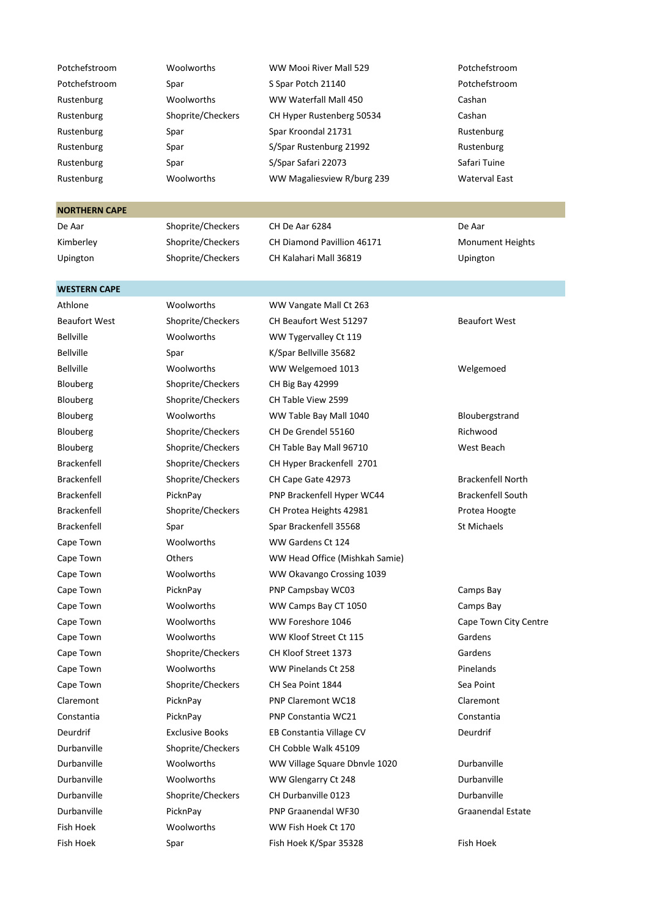| Potchefstroom | Woolworths        | WW Mooi River Mall 529     | Potchefstroom        |
|---------------|-------------------|----------------------------|----------------------|
| Potchefstroom | Spar              | S Spar Potch 21140         | Potchefstroom        |
| Rustenburg    | Woolworths        | WW Waterfall Mall 450      | Cashan               |
| Rustenburg    | Shoprite/Checkers | CH Hyper Rustenberg 50534  | Cashan               |
| Rustenburg    | Spar              | Spar Kroondal 21731        | Rustenburg           |
| Rustenburg    | Spar              | S/Spar Rustenburg 21992    | Rustenburg           |
| Rustenburg    | Spar              | S/Spar Safari 22073        | Safari Tuine         |
| Rustenburg    | Woolworths        | WW Magaliesview R/burg 239 | <b>Waterval East</b> |

#### **NORTHERN CAPE**

**WESTERN CAPE**

De Aar Shoprite/Checkers CH De Aar 6284 De Aar

Kimberley Shoprite/Checkers CH Diamond Pavillion 46171 Monument Heights Upington Shoprite/Checkers CH Kalahari Mall 36819 Upington

Blouberg Shoprite/Checkers CH Big Bay 42999 Blouberg Shoprite/Checkers CH Table View 2599 Cape Town Woolworths WW Gardens Ct 124

Athlone Woolworths WW Vangate Mall Ct 263 Beaufort West Shoprite/Checkers CH Beaufort West 51297 Beaufort West Bellville Woolworths WW Tygervalley Ct 119 Bellville Spar Spar K/Spar Bellville 35682 Bellville Woolworths WW Welgemoed 1013 Welgemoed Blouberg Woolworths WW Table Bay Mall 1040 Bloubergstrand Blouberg Shoprite/Checkers CH De Grendel 55160 Richwood Blouberg Shoprite/Checkers CH Table Bay Mall 96710 West Beach Brackenfell Shoprite/Checkers CH Hyper Brackenfell 2701 Brackenfell Shoprite/Checkers CH Cape Gate 42973 Brackenfell North Brackenfell PicknPay PicknPay PNP Brackenfell Hyper WC44 Brackenfell South Brackenfell Shoprite/Checkers CH Protea Heights 42981 Protea Hoogte Brackenfell Spar Spar Brackenfell 35568 St Michaels Cape Town **Cape Town** Others WW Head Office (Mishkah Samie) Cape Town Woolworths WW Okavango Crossing 1039 Cape Town **PicknPay** PIC PHP Campsbay WC03 Camps Bay Cape Town Woolworths WW Camps Bay CT 1050 Camps Bay Cape Town Woolworths WW Foreshore 1046 Cape Town City Centre Cape Town Woolworths WW Kloof Street Ct 115 Gardens Cape Town Shoprite/Checkers CH Kloof Street 1373 Gardens Cape Town **Woolworths** WW Pinelands Ct 258 Pinelands Cape Town Shoprite/Checkers CH Sea Point 1844 Sea Point Claremont PicknPay PNP Claremont WC18 Claremont Constantia PicknPay PNP Constantia WC21 Constantia Deurdrif Exclusive Books EB Constantia Village CV Deurdrif Durbanville Shoprite/Checkers CH Cobble Walk 45109 Durbanville Woolworths WW Village Square Dbnvle 1020 Durbanville Durbanville Woolworths WW Glengarry Ct 248 Durbanville Durbanville Shoprite/Checkers CH Durbanville 0123 Durbanville Durbanville PicknPay PNP Graanendal WF30 Graanendal Estate Fish Hoek Woolworths WW Fish Hoek Ct 170 Fish Hoek Spar Fish Hoek K/Spar 35328 Fish Hoek Eish Hoek Eish Hoek Fish Hoek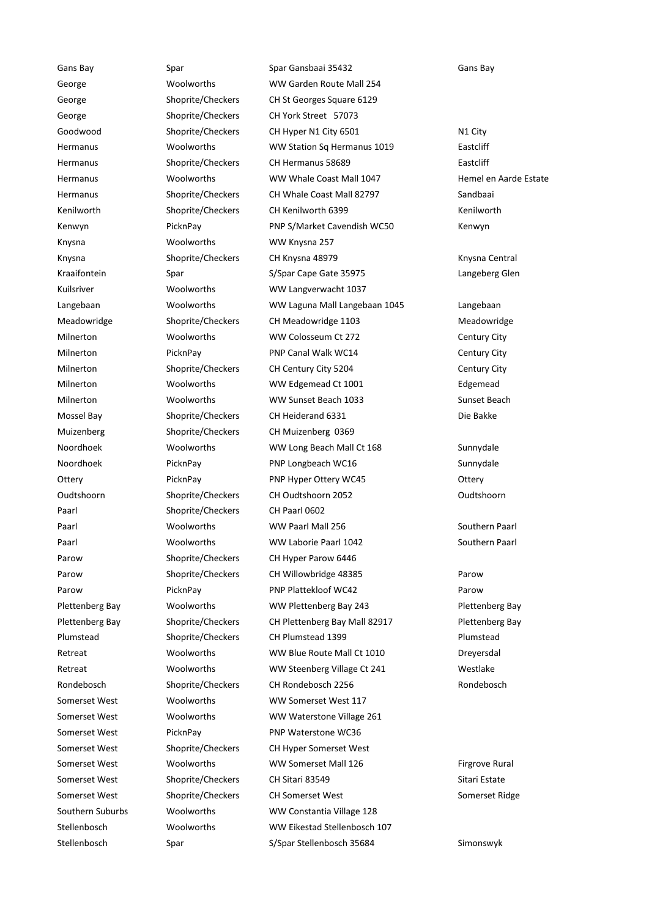Knysna Woolworths WW Knysna 257 Paarl Shoprite/Checkers CH Paarl 0602

Gans Bay Spar Spar Gansbaai 35432 Gans Bay George **Moolworths** WW Garden Route Mall 254 George Shoprite/Checkers CH St Georges Square 6129 George Shoprite/Checkers CH York Street 57073 Goodwood Shoprite/Checkers CH Hyper N1 City 6501 N1 City Hermanus Woolworths WW Station Sq Hermanus 1019 Eastcliff Hermanus Shoprite/Checkers CH Hermanus 58689 Eastcliff Hermanus Woolworths WW Whale Coast Mall 1047 Hemel en Aarde Estate Hermanus Shoprite/Checkers CH Whale Coast Mall 82797 Sandbaai Kenilworth Shoprite/Checkers CH Kenilworth 6399 Kenilworth Kenwyn **PicknPay** PicknPay PNP S/Market Cavendish WC50 Kenwyn Knysna Shoprite/Checkers CH Knysna 48979 Knysna Central Kraaifontein Spar S/Spar Cape Gate 35975 Langeberg Glen Kuilsriver **Woolworths** WW Langverwacht 1037 Langebaan Woolworths WW Laguna Mall Langebaan 1045 Langebaan Meadowridge Shoprite/Checkers CH Meadowridge 1103 Meadowridge Milnerton Woolworths WW Colosseum Ct 272 Century City Milnerton PicknPay PICKnPay PNP Canal Walk WC14 Century City Milnerton Shoprite/Checkers CH Century City 5204 Century City Milnerton Woolworths WW Edgemead Ct 1001 Edgemead Milnerton Woolworths WW Sunset Beach 1033 Sunset Beach Mossel Bay Shoprite/Checkers CH Heiderand 6331 Die Bakke Muizenberg Shoprite/Checkers CH Muizenberg 0369 Noordhoek Woolworths WW Long Beach Mall Ct 168 Sunnydale Noordhoek PicknPay PNP Longbeach WC16 Sunnydale Ottery **PicknPay** PNP Hyper Ottery WC45 Ottery Oudtshoorn Shoprite/Checkers CH Oudtshoorn 2052 Oudtshoorn Paarl Woolworths WW Paarl Mall 256 Southern Paarl Paarl Woolworths WW Laborie Paarl 1042 Southern Paarl Parow Shoprite/Checkers CH Hyper Parow 6446 Parow Shoprite/Checkers CH Willowbridge 48385 Parow Parow **PicknPay PICKNPay** PNP Plattekloof WC42 Parow Parow Plettenberg Bay Woolworths WW Plettenberg Bay 243 Plettenberg Bay Plettenberg Bay Shoprite/Checkers CH Plettenberg Bay Mall 82917 Plettenberg Bay Plumstead Shoprite/Checkers CH Plumstead 1399 Plumstead Plumstead Retreat Moolworths WW Blue Route Mall Ct 1010 Dreyersdal Retreat Woolworths WW Steenberg Village Ct 241 Westlake Rondebosch Shoprite/Checkers CH Rondebosch 2256 Rondebosch Rondebosch Somerset West Woolworths WW Somerset West 117 Somerset West Woolworths WW Waterstone Village 261 Somerset West PicknPay PNP Waterstone WC36 Somerset West Shoprite/Checkers CH Hyper Somerset West Somerset West **WOOLWORTHS** WW Somerset Mall 126 Firgrove Rural Somerset West Shoprite/Checkers CH Sitari 83549 Sitari Estate Somerset West Shoprite/Checkers CH Somerset West Somerset Ridge Southern Suburbs Woolworths WW Constantia Village 128 Stellenbosch Woolworths WW Eikestad Stellenbosch 107 Stellenbosch Spar S/Spar Stellenbosch 35684 Simonswyk